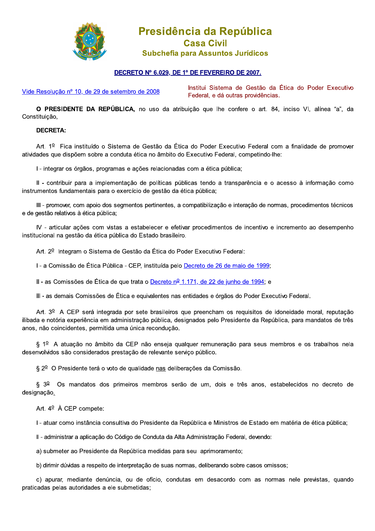

## Presidência da República **Casa Civil**

## Subchefia para Assuntos Jurídicos

## DECRETO Nº 6.029, DE 1º DE FEVEREIRO DE 2007.

Vide Resolução nº 10, de 29 de setembro de 2008

Institui Sistema de Gestão da Ética do Poder Executivo Federal, e dá outras providências.

O PRESIDENTE DA REPÚBLICA, no uso da atribuição que lhe confere o art. 84, inciso VI, alínea "a", da Constituição,

## **DECRETA:**

Art. 1º Fica instituído o Sistema de Gestão da Ética do Poder Executivo Federal com a finalidade de promover atividades que dispõem sobre a conduta ética no âmbito do Executivo Federal, competindo-lhe:

I - integrar os órgãos, programas e ações relacionadas com a ética pública;

Il - contribuir para a implementação de políticas públicas tendo a transparência e o acesso à informação como instrumentos fundamentais para o exercício de gestão da ética pública;

III - promover, com apoio dos segmentos pertinentes, a compatibilização e interação de normas, procedimentos técnicos e de gestão relativos à ética pública;

IV - articular ações com vistas a estabelecer e efetivar procedimentos de incentivo e incremento ao desempenho institucional na gestão da ética pública do Estado brasileiro.

Art. 2<sup>0</sup> Integram o Sistema de Gestão da Ética do Poder Executivo Federal:

I - a Comissão de Ética Pública - CEP, instituída pelo Decreto de 26 de maio de 1999;

II - as Comissões de Ética de que trata o Decreto nº 1.171, de 22 de junho de 1994; e

III - as demais Comissões de Ética e equivalentes nas entidades e órgãos do Poder Executivo Federal.

Art. 3<sup>0</sup> A CEP será integrada por sete brasileiros que preencham os requisitos de idoneidade moral, reputação ilibada e notória experiência em administração pública, designados pelo Presidente da República, para mandatos de três anos, não coincidentes, permitida uma única recondução.

§ 1º A atuação no âmbito da CEP não enseja qualquer remuneração para seus membros e os trabalhos nela desenvolvidos são considerados prestação de relevante servico público.

§ 2<sup>0</sup> O Presidente terá o voto de qualidade nas deliberações da Comissão.

§ 3<sup>0</sup> Os mandatos dos primeiros membros serão de um, dois e três anos, estabelecidos no decreto de designação.

Art.  $4^{\circ}$  À CEP compete:

I - atuar como instância consultiva do Presidente da República e Ministros de Estado em matéria de ética pública;

II - administrar a aplicação do Código de Conduta da Alta Administração Federal, devendo:

a) submeter ao Presidente da República medidas para seu aprimoramento;

b) dirimir dúvidas a respeito de interpretação de suas normas, deliberando sobre casos omissos;

c) apurar, mediante denúncia, ou de ofício, condutas em desacordo com as normas nele previstas, quando praticadas pelas autoridades a ele submetidas;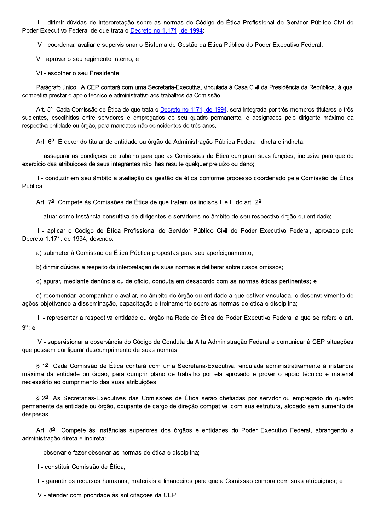III - dirimir dúvidas de interpretação sobre as normas do Código de Ética Profissional do Servidor Público Civil do Poder Executivo Federal de que trata o Decreto no 1.171, de 1994;

IV - coordenar, avaliar e supervisionar o Sistema de Gestão da Ética Pública do Poder Executivo Federal;

V - aprovar o seu regimento interno; e

VI - escolher o seu Presidente.

Parágrafo único. A CEP contará com uma Secretaria-Executiva, vinculada à Casa Civil da Presidência da República, à qual competirá prestar o apoio técnico e administrativo aos trabalhos da Comissão.

Art. 5° Cada Comissão de Ética de que trata o Decreto no 1171, de 1994, será integrada por três membros titulares e três suplentes, escolhidos entre servidores e empregados do seu quadro permanente, e designados pelo dirigente máximo da respectiva entidade ou órgão, para mandatos não coincidentes de três anos.

Art. 6º É dever do titular de entidade ou órgão da Administração Pública Federal, direta e indireta:

I - assegurar as condições de trabalho para que as Comissões de Ética cumpram suas funções, inclusive para que do exercício das atribuições de seus integrantes não lhes resulte qualquer prejuízo ou dano;

II - conduzir em seu âmbito a avaliação da gestão da ética conforme processo coordenado pela Comissão de Ética Pública.

Art. 7º Compete às Comissões de Ética de que tratam os incisos II e III do art. 2º:

I - atuar como instância consultiva de dirigentes e servidores no âmbito de seu respectivo órgão ou entidade;

Il - aplicar o Código de Ética Profissional do Servidor Público Civil do Poder Executivo Federal, aprovado pelo Decreto 1.171, de 1994, devendo:

a) submeter à Comissão de Ética Pública propostas para seu aperfeicoamento;

b) dirimir dúvidas a respeito da interpretação de suas normas e deliberar sobre casos omissos;

c) apurar, mediante denúncia ou de ofício, conduta em desacordo com as normas éticas pertinentes; e

d) recomendar, acompanhar e avaliar, no âmbito do órgão ou entidade a que estiver vinculada, o desenvolvimento de ações objetivando a disseminação, capacitação e treinamento sobre as normas de ética e disciplina;

III - representar a respectiva entidade ou órgão na Rede de Ética do Poder Executivo Federal a que se refere o art.  $9^{\circ}$ ; e

IV - supervisionar a observância do Código de Conduta da Alta Administração Federal e comunicar à CEP situações que possam configurar descumprimento de suas normas.

§ 1º Cada Comissão de Ética contará com uma Secretaria-Executiva, vinculada administrativamente à instância máxima da entidade ou órgão, para cumprir plano de trabalho por ela aprovado e prover o apoio técnico e material necessário ao cumprimento das suas atribuições.

§ 2<sup>0</sup> As Secretarias-Executivas das Comissões de Ética serão chefiadas por servidor ou empregado do quadro permanente da entidade ou órgão, ocupante de cargo de direção compatível com sua estrutura, alocado sem aumento de despesas.

Art. 8<sup>0</sup> Compete às instâncias superiores dos órgãos e entidades do Poder Executivo Federal, abrangendo a administração direta e indireta:

I - observar e fazer observar as normas de ética e disciplina:

II - constituir Comissão de Ética:

III - garantir os recursos humanos, materiais e financeiros para que a Comissão cumpra com suas atribuições; e

IV - atender com prioridade às solicitações da CEP.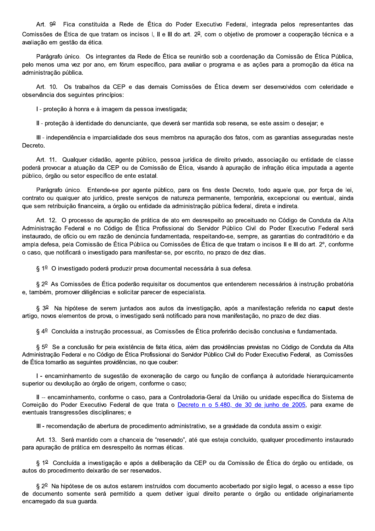Art. 9<sup>0</sup> Fica constituída a Rede de Ética do Poder Executivo Federal, integrada pelos representantes das Comissões de Ética de que tratam os incisos I, II e III do art. 2<sup>0</sup>, com o objetivo de promover a cooperação técnica e a avaliação em gestão da ética.

Parágrafo único. Os integrantes da Rede de Ética se reunirão sob a coordenação da Comissão de Ética Pública, pelo menos uma vez por ano, em fórum específico, para avaliar o programa e as ações para a promoção da ética na administração pública.

Art. 10. Os trabalhos da CEP e das demais Comissões de Ética devem ser desenvolvidos com celeridade e observância dos sequintes princípios:

I - proteção à honra e à imagem da pessoa investigada;

Il - proteção à identidade do denunciante, que deverá ser mantida sob reserva, se este assim o desejar; e

III - independência e imparcialidade dos seus membros na apuração dos fatos, com as garantias asseguradas neste Decreto.

Art. 11. Qualquer cidadão, agente público, pessoa jurídica de direito privado, associação ou entidade de classe poderá provocar a atuação da CEP ou de Comissão de Ética, visando à apuração de infração ética imputada a agente público, órgão ou setor específico de ente estatal.

Parágrafo único. Entende-se por agente público, para os fins deste Decreto, todo aquele que, por força de lei, contrato ou qualquer ato jurídico, preste servicos de natureza permanente, temporária, excepcional ou eventual, ainda que sem retribuição financeira, a órgão ou entidade da administração pública federal, direta e indireta.

Art. 12. O processo de apuração de prática de ato em desrespeito ao preceituado no Código de Conduta da Alta Administração Federal e no Código de Ética Profissional do Servidor Público Civil do Poder Executivo Federal será instaurado, de ofício ou em razão de denúncia fundamentada, respeitando-se, sempre, as garantias do contraditório e da ampla defesa, pela Comissão de Ética Pública ou Comissões de Ética de que tratam o incisos II e III do art. 2°, conforme o caso, que notificará o investigado para manifestar-se, por escrito, no prazo de dez dias.

§ 1º O investigado poderá produzir prova documental necessária à sua defesa.

§ 2º As Comissões de Ética poderão requisitar os documentos que entenderem necessários à instrução probatória e, também, promover diligências e solicitar parecer de especialista.

§ 3º Na hipótese de serem juntados aos autos da investigação, após a manifestação referida no caput deste artigo, novos elementos de prova, o investigado será notificado para nova manifestação, no prazo de dez dias.

§ 4º Concluída a instrução processual, as Comissões de Ética proferirão decisão conclusiva e fundamentada.

§ 5º Se a conclusão for pela existência de falta ética, além das providências previstas no Código de Conduta da Alta Administração Federal e no Código de Ética Profissional do Servidor Público Civil do Poder Executivo Federal, as Comissões de Ética tomarão as seguintes providências, no que couber:

I - encaminhamento de sugestão de exoneração de cargo ou função de confiança à autoridade hierarquicamente superior ou devolução ao órgão de origem, conforme o caso;

II -- encaminhamento, conforme o caso, para a Controladoria-Geral da União ou unidade específica do Sistema de Correição do Poder Executivo Federal de que trata o Decreto n o 5.480, de 30 de junho de 2005, para exame de eventuais transgressões disciplinares: e

III - recomendação de abertura de procedimento administrativo, se a gravidade da conduta assim o exigir.

Art. 13. Será mantido com a chancela de "reservado", até que esteja concluído, qualquer procedimento instaurado para apuração de prática em desrespeito às normas éticas.

§ 1º Concluída a investigação e após a deliberação da CEP ou da Comissão de Ética do órgão ou entidade, os autos do procedimento deixarão de ser reservados.

§ 2º Na hipótese de os autos estarem instruídos com documento acobertado por sigilo legal, o acesso a esse tipo de documento somente será permitido a quem detiver igual direito perante o órgão ou entidade originariamente encarregado da sua guarda.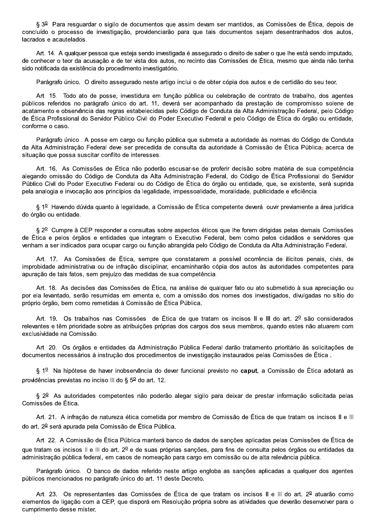§ 3<sup>0</sup> Para resguardar o sigilo de documentos que assim devam ser mantidos, as Comissões de Ética, depois de concluído o processo de investigação, providenciarão para que tais documentos seiam desentranhados dos autos, lacrados e acautelados.

Art. 14. A qualquer pessoa que esteja sendo investigada é assegurado o direito de saber o que lhe está sendo imputado. de conhecer o teor da acusação e de ter vista dos autos, no recinto das Comissões de Ética, mesmo que ainda não tenha sido notificada da existência do procedimento investigatório.

Parágrafo único. O direito assegurado neste artigo inclui o de obter cópia dos autos e de certidão do seu teor.

Art. 15. Todo ato de posse, investidura em função pública ou celebração de contrato de trabalho, dos agentes públicos referidos no parágrafo único do art. 11, deverá ser acompanhado da prestação de compromisso solene de acatamento e observância das regras estabelecidas pelo Código de Conduta da Alta Administração Federal, pelo Código de Ética Profissional do Servidor Público Civil do Poder Executivo Federal e pelo Código de Ética do órgão ou entidade, conforme o caso.

Parágrafo único. A posse em cargo ou função pública que submeta a autoridade às normas do Código de Conduta da Alta Administração Federal deve ser precedida de consulta da autoridade à Comissão de Ética Pública-acerca de situação que possa suscitar conflito de interesses.

Art. 16. As Comissões de Ética não poderão escusar-se de proferir decisão sobre matéria de sua competência alegando omissão do Código de Conduta da Alta Administração Federal, do Código de Ética Profissional do Servidor Público Civil do Poder Executivo Federal ou do Código de Ética do órgão ou entidade, que, se existente, será suprida pela analogia e invocação aos princípios da legalidade, impessoalidade, moralidade, publicidade e eficiência.

§ 1º Havendo dúvida quanto à legalidade, a Comissão de Ética competente deverá ouvir previamente a área jurídica do órgão ou entidade.

§ 2º Cumpre à CEP responder a consultas sobre aspectos éticos que lhe forem dirigidas pelas demais Comissões de Ética e pelos órgãos e entidades que integram o Executivo Federal, bem como pelos cidadãos e servidores que venham a ser indicados para ocupar cargo ou função abrangida pelo Código de Conduta da Alta Administração Federal.

Art. 17. As Comissões de Ética, sempre que constatarem a possível ocorrência de ilícitos penais, civis, de improbidade administrativa ou de infração disciplinar, encaminharão cópia dos autos às autoridades competentes para apuração de tais fatos, sem prejuízo das medidas de sua competência.

Art. 18. As decisões das Comissões de Ética, na análise de qualquer fato ou ato submetido à sua apreciação ou por ela levantado, serão resumidas em ementa e, com a omissão dos nomes dos investigados, divulgadas no sítio do próprio órgão, bem como remetidas à Comissão de Ética Pública.

Art. 19. Os trabalhos nas Comissões de Ética de que tratam os incisos II e III do art. 2º são considerados relevantes e têm prioridade sobre as atribuições próprias dos cargos dos seus membros, quando estes não atuarem com exclusividade na Comissão.

Art. 20. Os órgãos e entidades da Administração Pública Federal darão tratamento prioritário às solicitações de documentos necessários à instrução dos procedimentos de investigação instaurados pelas Comissões de Ética.

§ 1º Na hipótese de haver inobservância do dever funcional previsto no caput, a Comissão de Ética adotará as providências previstas no inciso III do §  $5^{\circ}$  do art. 12.

§ 2º As autoridades competentes não poderão alegar sigilo para deixar de prestar informação solicitada pelas Comissões de Ética.

Art. 21. A infração de natureza ética cometida por membro de Comissão de Ética de que tratam os incisos II e III do art. 2º será apurada pela Comissão de Ética Pública.

Art. 22. A Comissão de Ética Pública manterá banco de dados de sanções aplicadas pelas Comissões de Ética de que tratam os incisos II e III do art. 2º e de suas próprias sanções, para fins de consulta pelos órgãos ou entidades da administração pública federal, em casos de nomeação para cargo em comissão ou de alta relevância pública.

Parágrafo único. O banco de dados referido neste artigo engloba as sanções aplicadas a qualquer dos agentes públicos mencionados no parágrafo único do art. 11 deste Decreto.

Art. 23. Os representantes das Comissões de Ética de que tratam os incisos II e III do art. 2<sup>0</sup> atuarão como elementos de ligação com a CEP, que disporá em Resolução própria sobre as atividades que deverão desenvolver para o cumprimento desse mister.